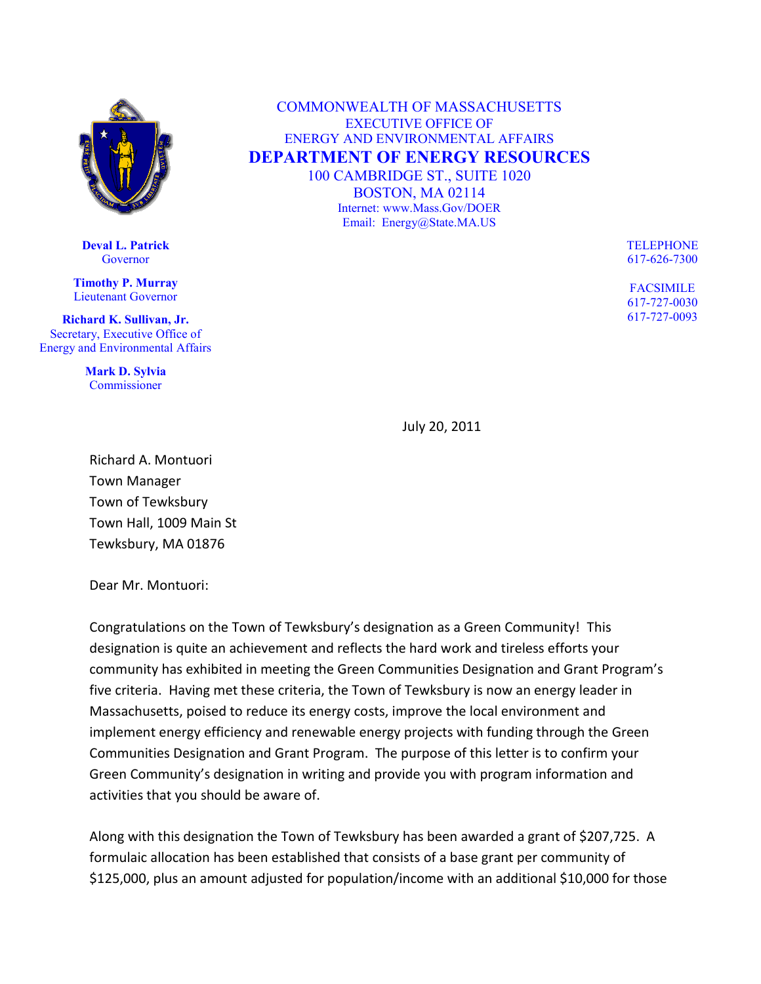

**Deval L. Patrick Governor** 

**Timothy P. Murray** Lieutenant Governor

**Richard K. Sullivan, Jr.** Secretary, Executive Office of Energy and Environmental Affairs

> **Mark D. Sylvia** Commissioner

COMMONWEALTH OF MASSACHUSETTS EXECUTIVE OFFICE OF ENERGY AND ENVIRONMENTAL AFFAIRS **DEPARTMENT OF ENERGY RESOURCES** 100 CAMBRIDGE ST., SUITE 1020 BOSTON, MA 02114 Internet: www.Mass.Gov/DOER Email: Energy@State.MA.US

> TELEPHONE 617-626-7300

FACSIMILE 617-727-0030 617-727-0093

July 20, 2011

Richard A. Montuori Town Manager Town of Tewksbury Town Hall, 1009 Main St Tewksbury, MA 01876

Dear Mr. Montuori:

Congratulations on the Town of Tewksbury's designation as a Green Community! This designation is quite an achievement and reflects the hard work and tireless efforts your community has exhibited in meeting the Green Communities Designation and Grant Program's five criteria. Having met these criteria, the Town of Tewksbury is now an energy leader in Massachusetts, poised to reduce its energy costs, improve the local environment and implement energy efficiency and renewable energy projects with funding through the Green Communities Designation and Grant Program. The purpose of this letter is to confirm your Green Community's designation in writing and provide you with program information and activities that you should be aware of.

Along with this designation the Town of Tewksbury has been awarded a grant of \$207,725. A formulaic allocation has been established that consists of a base grant per community of \$125,000, plus an amount adjusted for population/income with an additional \$10,000 for those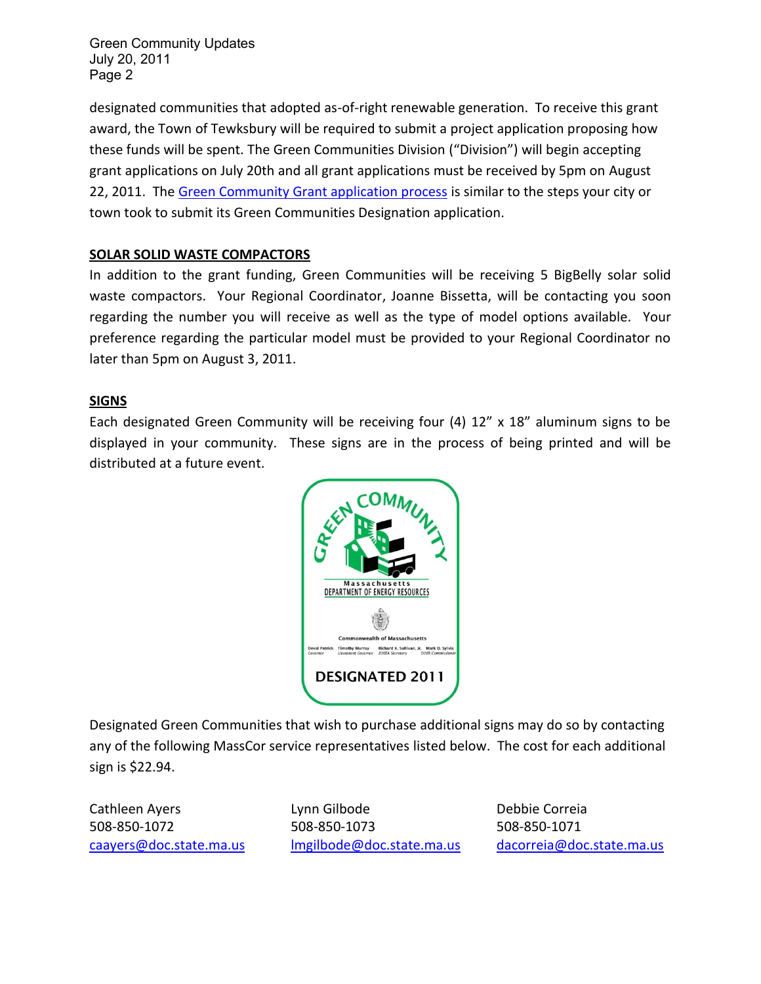Green Community Updates July 20, 2011 Page 2

designated communities that adopted as-of-right renewable generation. To receive this grant award, the Town of Tewksbury will be required to submit a project application proposing how these funds will be spent. The Green Communities Division ("Division") will begin accepting grant applications on July 20th and all grant applications must be received by 5pm on August 22, 2011. The [Green Community Grant application process](https://massdoer.centraldesktop.com/p/aQAAAAAA06lL) is similar to the steps your city or town took to submit its Green Communities Designation application.

## **SOLAR SOLID WASTE COMPACTORS**

In addition to the grant funding, Green Communities will be receiving 5 BigBelly solar solid waste compactors. Your Regional Coordinator, Joanne Bissetta, will be contacting you soon regarding the number you will receive as well as the type of model options available. Your preference regarding the particular model must be provided to your Regional Coordinator no later than 5pm on August 3, 2011.

## **SIGNS**

Each designated Green Community will be receiving four (4) 12" x 18" aluminum signs to be displayed in your community. These signs are in the process of being printed and will be distributed at a future event.



Designated Green Communities that wish to purchase additional signs may do so by contacting any of the following MassCor service representatives listed below. The cost for each additional sign is \$22.94.

Cathleen Ayers **Lynn Gilbode** Debbie Correia 508-850-1072 508-850-1073 508-850-1071 [caayers@doc.state.ma.us](mailto:caayers@doc.state.ma.us) [lmgilbode@doc.state.ma.us](mailto:lmgilbode@doc.state.ma.us) [dacorreia@doc.state.ma.us](mailto:dacorreia@doc.state.ma.us)